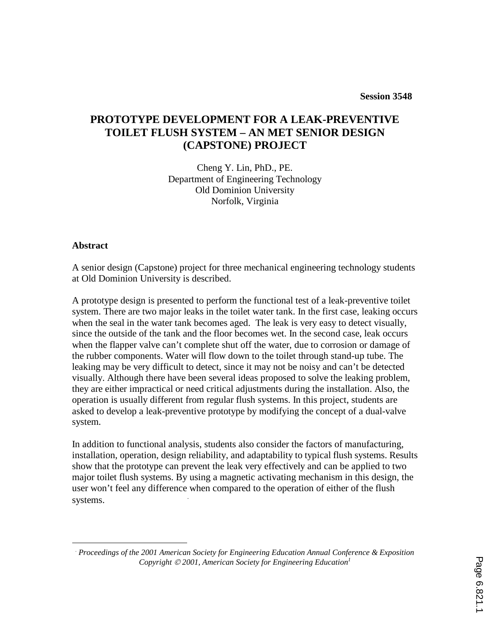# **PROTOTYPE DEVELOPMENT FOR A LEAK-PREVENTIVE TOILET FLUSH SYSTEM – AN MET SENIOR DESIGN (CAPSTONE) PROJECT**

Cheng Y. Lin, PhD., PE. Department of Engineering Technology Old Dominion University Norfolk, Virginia

#### **Abstract**

A senior design (Capstone) project for three mechanical engineering technology students at Old Dominion University is described.

A prototype design is presented to perform the functional test of a leak-preventive toilet system. There are two major leaks in the toilet water tank. In the first case, leaking occurs when the seal in the water tank becomes aged. The leak is very easy to detect visually, since the outside of the tank and the floor becomes wet. In the second case, leak occurs when the flapper valve can't complete shut off the water, due to corrosion or damage of the rubber components. Water will flow down to the toilet through stand-up tube. The leaking may be very difficult to detect, since it may not be noisy and can't be detected visually. Although there have been several ideas proposed to solve the leaking problem, they are either impractical or need critical adjustments during the installation. Also, the operation is usually different from regular flush systems. In this project, students are asked to develop a leak-preventive prototype by modifying the concept of a dual-valve system.

In addition to functional analysis, students also consider the factors of manufacturing, installation, operation, design reliability, and adaptability to typical flush systems. Results show that the prototype can prevent the leak very effectively and can be applied to two major toilet flush systems. By using a magnetic activating mechanism in this design, the user won't feel any difference when compared to the operation of either of the flush systems.

<sup>.</sup>  *Proceedings of the 2001 American Society for Engineering Education Annual Conference & Exposition Copyright 2001, American Society for Engineering Education<sup>1</sup>*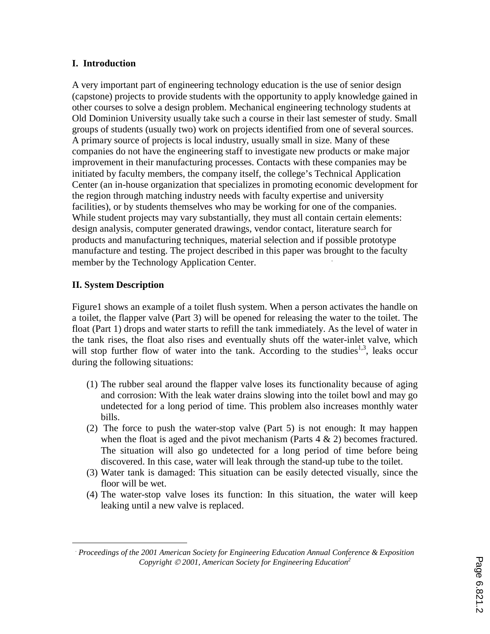# **I. Introduction**

A very important part of engineering technology education is the use of senior design (capstone) projects to provide students with the opportunity to apply knowledge gained in other courses to solve a design problem. Mechanical engineering technology students at Old Dominion University usually take such a course in their last semester of study. Small groups of students (usually two) work on projects identified from one of several sources. A primary source of projects is local industry, usually small in size. Many of these companies do not have the engineering staff to investigate new products or make major improvement in their manufacturing processes. Contacts with these companies may be initiated by faculty members, the company itself, the college's Technical Application Center (an in-house organization that specializes in promoting economic development for the region through matching industry needs with faculty expertise and university facilities), or by students themselves who may be working for one of the companies. While student projects may vary substantially, they must all contain certain elements: design analysis, computer generated drawings, vendor contact, literature search for products and manufacturing techniques, material selection and if possible prototype manufacture and testing. The project described in this paper was brought to the faculty member by the Technology Application Center. .

# **II. System Description**

Figure1 shows an example of a toilet flush system. When a person activates the handle on a toilet, the flapper valve (Part 3) will be opened for releasing the water to the toilet. The float (Part 1) drops and water starts to refill the tank immediately. As the level of water in the tank rises, the float also rises and eventually shuts off the water-inlet valve, which will stop further flow of water into the tank. According to the studies<sup>1,3</sup>, leaks occur during the following situations:

- (1) The rubber seal around the flapper valve loses its functionality because of aging and corrosion: With the leak water drains slowing into the toilet bowl and may go undetected for a long period of time. This problem also increases monthly water bills.
- (2) The force to push the water-stop valve (Part 5) is not enough: It may happen when the float is aged and the pivot mechanism (Parts  $4 \& 2$ ) becomes fractured. The situation will also go undetected for a long period of time before being discovered. In this case, water will leak through the stand-up tube to the toilet.
- (3) Water tank is damaged: This situation can be easily detected visually, since the floor will be wet.
- (4) The water-stop valve loses its function: In this situation, the water will keep leaking until a new valve is replaced.

 .  *Proceedings of the 2001 American Society for Engineering Education Annual Conference & Exposition Copyright 2001, American Society for Engineering Education<sup>2</sup>*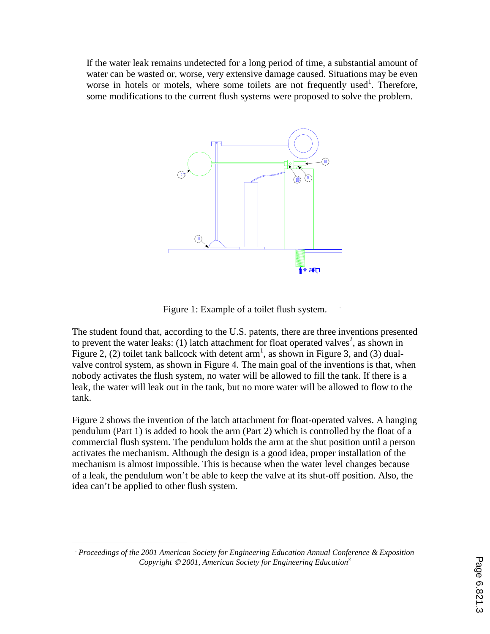If the water leak remains undetected for a long period of time, a substantial amount of water can be wasted or, worse, very extensive damage caused. Situations may be even worse in hotels or motels, where some toilets are not frequently used<sup>1</sup>. Therefore, some modifications to the current flush systems were proposed to solve the problem.



Figure 1: Example of a toilet flush system.

The student found that, according to the U.S. patents, there are three inventions presented to prevent the water leaks: (1) latch attachment for float operated valves<sup>2</sup>, as shown in Figure 2, (2) toilet tank ballcock with detent  $arm<sup>1</sup>$ , as shown in Figure 3, and (3) dualvalve control system, as shown in Figure 4. The main goal of the inventions is that, when nobody activates the flush system, no water will be allowed to fill the tank. If there is a leak, the water will leak out in the tank, but no more water will be allowed to flow to the tank.

Figure 2 shows the invention of the latch attachment for float-operated valves. A hanging pendulum (Part 1) is added to hook the arm (Part 2) which is controlled by the float of a commercial flush system. The pendulum holds the arm at the shut position until a person activates the mechanism. Although the design is a good idea, proper installation of the mechanism is almost impossible. This is because when the water level changes because of a leak, the pendulum won't be able to keep the valve at its shut-off position. Also, the idea can't be applied to other flush system.

<sup>.</sup>  *Proceedings of the 2001 American Society for Engineering Education Annual Conference & Exposition Copyright 2001, American Society for Engineering Education<sup>3</sup>*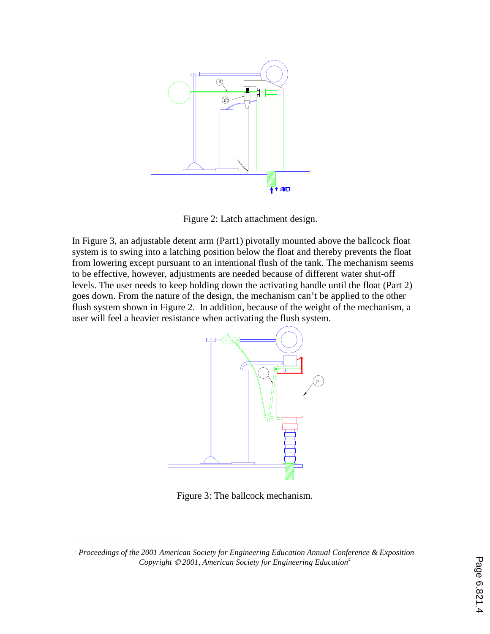

Figure 2: Latch attachment design.

In Figure 3, an adjustable detent arm (Part1) pivotally mounted above the ballcock float system is to swing into a latching position below the float and thereby prevents the float from lowering except pursuant to an intentional flush of the tank. The mechanism seems to be effective, however, adjustments are needed because of different water shut-off levels. The user needs to keep holding down the activating handle until the float (Part 2) goes down. From the nature of the design, the mechanism can't be applied to the other flush system shown in Figure 2. In addition, because of the weight of the mechanism, a user will feel a heavier resistance when activating the flush system.



Figure 3: The ballcock mechanism.

 .  *Proceedings of the 2001 American Society for Engineering Education Annual Conference & Exposition Copyright 2001, American Society for Engineering Education<sup>4</sup>*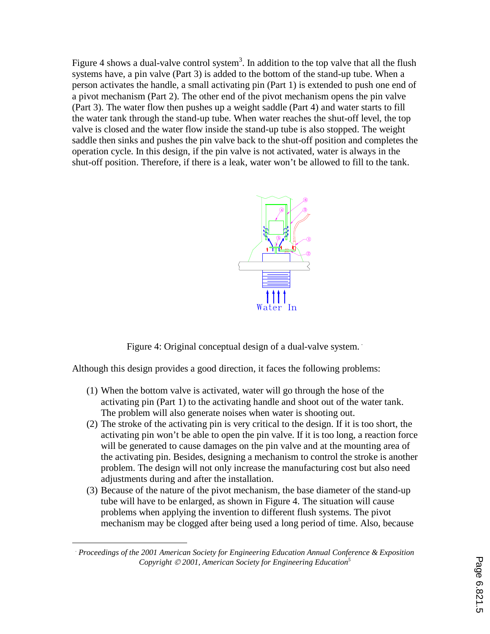Figure 4 shows a dual-valve control system<sup>3</sup>. In addition to the top valve that all the flush systems have, a pin valve (Part 3) is added to the bottom of the stand-up tube. When a person activates the handle, a small activating pin (Part 1) is extended to push one end of a pivot mechanism (Part 2). The other end of the pivot mechanism opens the pin valve (Part 3). The water flow then pushes up a weight saddle (Part 4) and water starts to fill the water tank through the stand-up tube. When water reaches the shut-off level, the top valve is closed and the water flow inside the stand-up tube is also stopped. The weight saddle then sinks and pushes the pin valve back to the shut-off position and completes the operation cycle. In this design, if the pin valve is not activated, water is always in the shut-off position. Therefore, if there is a leak, water won't be allowed to fill to the tank.



Figure 4: Original conceptual design of a dual-valve system.

Although this design provides a good direction, it faces the following problems:

- (1) When the bottom valve is activated, water will go through the hose of the activating pin (Part 1) to the activating handle and shoot out of the water tank. The problem will also generate noises when water is shooting out.
- (2) The stroke of the activating pin is very critical to the design. If it is too short, the activating pin won't be able to open the pin valve. If it is too long, a reaction force will be generated to cause damages on the pin valve and at the mounting area of the activating pin. Besides, designing a mechanism to control the stroke is another problem. The design will not only increase the manufacturing cost but also need adjustments during and after the installation.
- (3) Because of the nature of the pivot mechanism, the base diameter of the stand-up tube will have to be enlarged, as shown in Figure 4. The situation will cause problems when applying the invention to different flush systems. The pivot mechanism may be clogged after being used a long period of time. Also, because

<sup>.</sup>  *Proceedings of the 2001 American Society for Engineering Education Annual Conference & Exposition Copyright © 2001, American Society for Engineering Education*<sup>5</sup>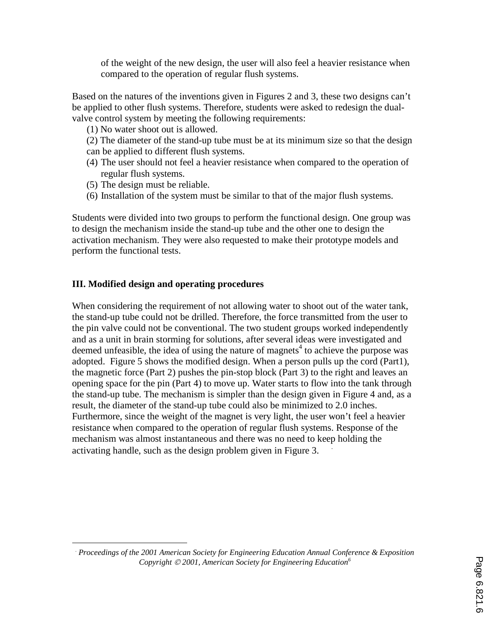of the weight of the new design, the user will also feel a heavier resistance when compared to the operation of regular flush systems.

Based on the natures of the inventions given in Figures 2 and 3, these two designs can't be applied to other flush systems. Therefore, students were asked to redesign the dualvalve control system by meeting the following requirements:

- (1) No water shoot out is allowed.
- (2) The diameter of the stand-up tube must be at its minimum size so that the design can be applied to different flush systems.
- (4) The user should not feel a heavier resistance when compared to the operation of regular flush systems.
- (5) The design must be reliable.
- (6) Installation of the system must be similar to that of the major flush systems.

Students were divided into two groups to perform the functional design. One group was to design the mechanism inside the stand-up tube and the other one to design the activation mechanism. They were also requested to make their prototype models and perform the functional tests.

# **III. Modified design and operating procedures**

When considering the requirement of not allowing water to shoot out of the water tank, the stand-up tube could not be drilled. Therefore, the force transmitted from the user to the pin valve could not be conventional. The two student groups worked independently and as a unit in brain storming for solutions, after several ideas were investigated and deemed unfeasible, the idea of using the nature of magnets<sup>4</sup> to achieve the purpose was adopted. Figure 5 shows the modified design. When a person pulls up the cord (Part1), the magnetic force (Part 2) pushes the pin-stop block (Part 3) to the right and leaves an opening space for the pin (Part 4) to move up. Water starts to flow into the tank through the stand-up tube. The mechanism is simpler than the design given in Figure 4 and, as a result, the diameter of the stand-up tube could also be minimized to 2.0 inches. Furthermore, since the weight of the magnet is very light, the user won't feel a heavier resistance when compared to the operation of regular flush systems. Response of the mechanism was almost instantaneous and there was no need to keep holding the activating handle, such as the design problem given in Figure 3. .

<sup>.</sup>  *Proceedings of the 2001 American Society for Engineering Education Annual Conference & Exposition Copyright 2001, American Society for Engineering Education<sup>6</sup>*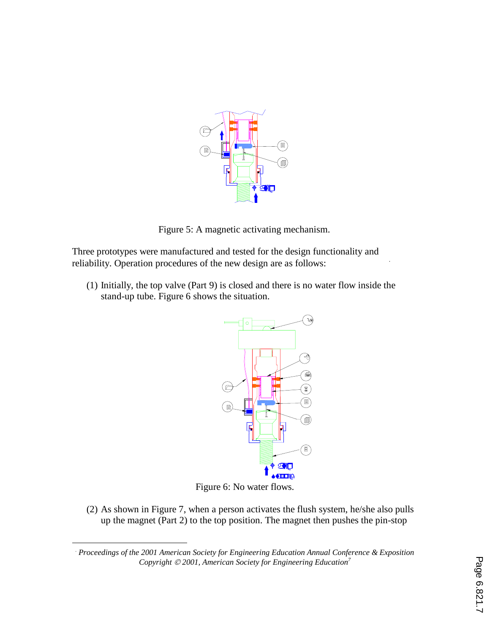

Figure 5: A magnetic activating mechanism.

Three prototypes were manufactured and tested for the design functionality and reliability. Operation procedures of the new design are as follows: .

(1) Initially, the top valve (Part 9) is closed and there is no water flow inside the stand-up tube. Figure 6 shows the situation.



Figure 6: No water flows.

(2) As shown in Figure 7, when a person activates the flush system, he/she also pulls up the magnet (Part 2) to the top position. The magnet then pushes the pin-stop

<sup>.</sup>  *Proceedings of the 2001 American Society for Engineering Education Annual Conference & Exposition Copyright © 2001, American Society for Engineering Education<sup>7</sup>*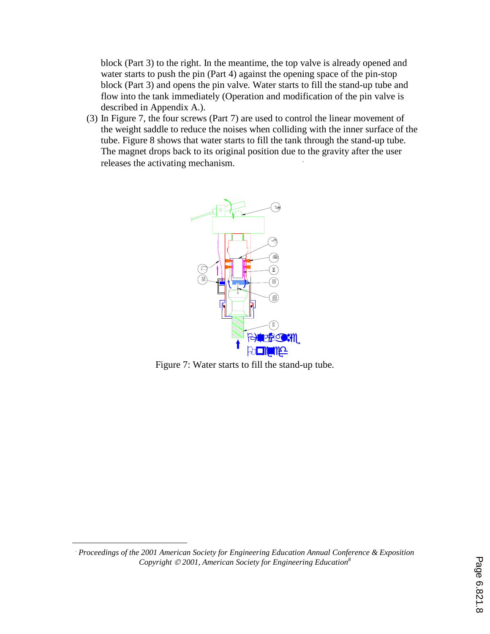block (Part 3) to the right. In the meantime, the top valve is already opened and water starts to push the pin (Part 4) against the opening space of the pin-stop block (Part 3) and opens the pin valve. Water starts to fill the stand-up tube and flow into the tank immediately (Operation and modification of the pin valve is described in Appendix A.).

(3) In Figure 7, the four screws (Part 7) are used to control the linear movement of the weight saddle to reduce the noises when colliding with the inner surface of the tube. Figure 8 shows that water starts to fill the tank through the stand-up tube. The magnet drops back to its original position due to the gravity after the user releases the activating mechanism. .



Figure 7: Water starts to fill the stand-up tube.

<sup>.</sup>  *Proceedings of the 2001 American Society for Engineering Education Annual Conference & Exposition Copyright 2001, American Society for Engineering Education<sup>8</sup>*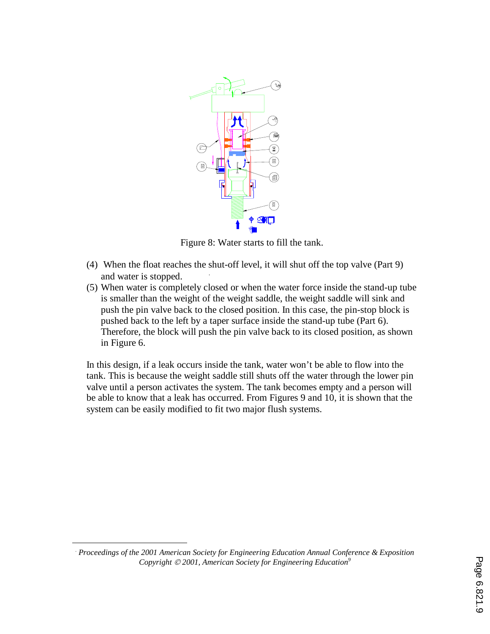

Figure 8: Water starts to fill the tank.

- (4) When the float reaches the shut-off level, it will shut off the top valve (Part 9) and water is stopped. .
- (5) When water is completely closed or when the water force inside the stand-up tube is smaller than the weight of the weight saddle, the weight saddle will sink and push the pin valve back to the closed position. In this case, the pin-stop block is pushed back to the left by a taper surface inside the stand-up tube (Part 6). Therefore, the block will push the pin valve back to its closed position, as shown in Figure 6.

In this design, if a leak occurs inside the tank, water won't be able to flow into the tank. This is because the weight saddle still shuts off the water through the lower pin valve until a person activates the system. The tank becomes empty and a person will be able to know that a leak has occurred. From Figures 9 and 10, it is shown that the system can be easily modified to fit two major flush systems.

.  *Proceedings of the 2001 American Society for Engineering Education Annual Conference & Exposition Copyright 2001, American Society for Engineering Education<sup>9</sup>*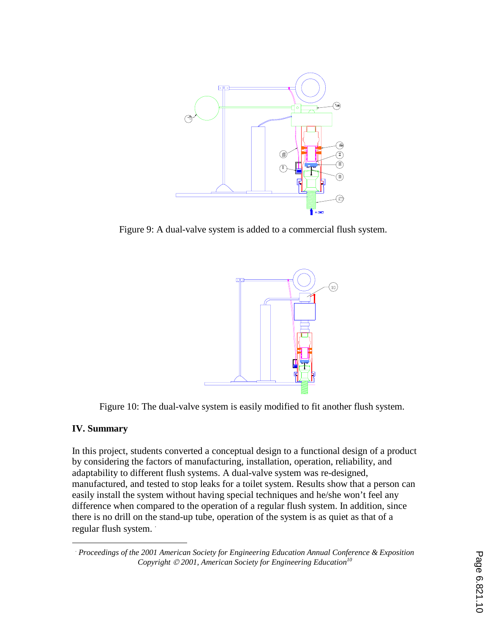

Figure 9: A dual-valve system is added to a commercial flush system.



Figure 10: The dual-valve system is easily modified to fit another flush system.

#### **IV. Summary**

In this project, students converted a conceptual design to a functional design of a product by considering the factors of manufacturing, installation, operation, reliability, and adaptability to different flush systems. A dual-valve system was re-designed, manufactured, and tested to stop leaks for a toilet system. Results show that a person can easily install the system without having special techniques and he/she won't feel any difference when compared to the operation of a regular flush system. In addition, since there is no drill on the stand-up tube, operation of the system is as quiet as that of a regular flush system. .

<sup>.</sup>  *Proceedings of the 2001 American Society for Engineering Education Annual Conference & Exposition Copyright 2001, American Society for Engineering Education<sup>10</sup>*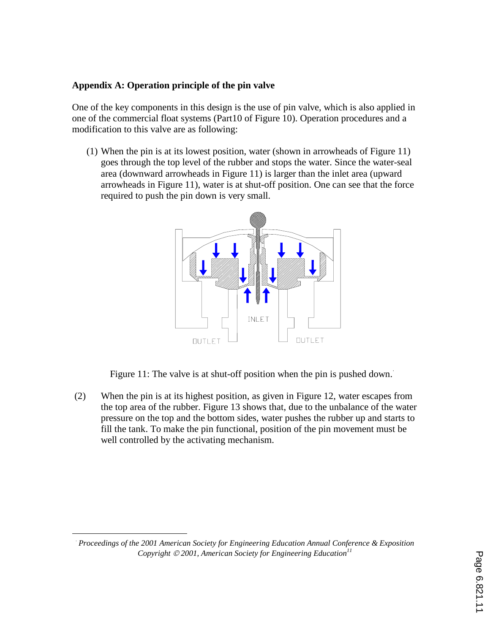### **Appendix A: Operation principle of the pin valve**

One of the key components in this design is the use of pin valve, which is also applied in one of the commercial float systems (Part10 of Figure 10). Operation procedures and a modification to this valve are as following:

(1) When the pin is at its lowest position, water (shown in arrowheads of Figure 11) goes through the top level of the rubber and stops the water. Since the water-seal area (downward arrowheads in Figure 11) is larger than the inlet area (upward arrowheads in Figure 11), water is at shut-off position. One can see that the force required to push the pin down is very small.



Figure 11: The valve is at shut-off position when the pin is pushed down.

(2) When the pin is at its highest position, as given in Figure 12, water escapes from the top area of the rubber. Figure 13 shows that, due to the unbalance of the water pressure on the top and the bottom sides, water pushes the rubber up and starts to fill the tank. To make the pin functional, position of the pin movement must be well controlled by the activating mechanism.

 $\overline{a}$ 

<sup>⋅</sup> *Proceedings of the 2001 American Society for Engineering Education Annual Conference & Exposition Copyright © 2001, American Society for Engineering Education*<sup>11</sup>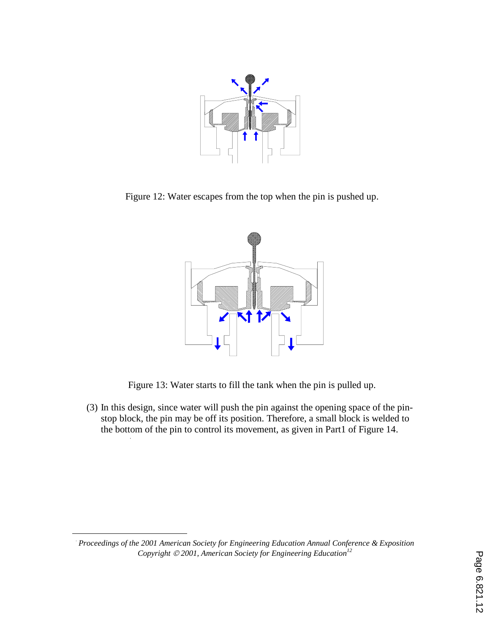

Figure 12: Water escapes from the top when the pin is pushed up.



Figure 13: Water starts to fill the tank when the pin is pulled up.

(3) In this design, since water will push the pin against the opening space of the pinstop block, the pin may be off its position. Therefore, a small block is welded to the bottom of the pin to control its movement, as given in Part1 of Figure 14. ⋅

 $\overline{a}$ 

*Proceedings of the 2001 American Society for Engineering Education Annual Conference & Exposition Copyright 2001, American Society for Engineering Education<sup>12</sup>*